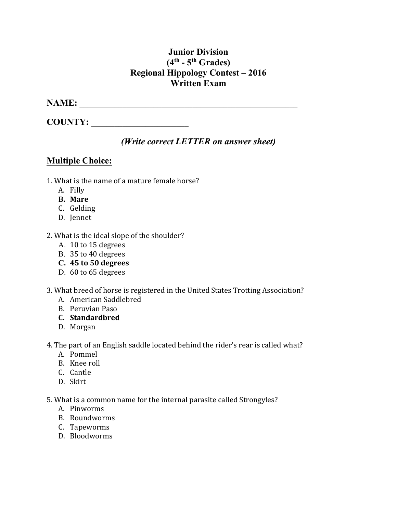## **Junior Division (4th - 5th Grades) Regional Hippology Contest – 2016 Written Exam**

### **NAME:** \_\_\_\_\_\_\_\_\_\_\_\_\_\_\_\_\_\_\_\_\_\_\_\_\_\_\_\_\_\_\_\_\_\_\_\_\_\_\_\_\_\_\_\_\_\_\_\_\_\_\_\_\_\_\_\_

**COUNTY:** \_\_\_\_\_\_\_\_\_\_\_\_\_\_\_\_\_\_\_\_\_\_\_\_\_

## *(Write correct LETTER on answer sheet)*

## **Multiple Choice:**

- 1. What is the name of a mature female horse?
	- A. Filly
	- **B. Mare**
	- C. Gelding
	- D. Jennet
- 2. What is the ideal slope of the shoulder?
	- A. 10 to 15 degrees
	- B. 35 to 40 degrees
	- **C. 45 to 50 degrees**
	- D. 60 to 65 degrees
- 3. What breed of horse is registered in the United States Trotting Association?
	- A. American Saddlebred
	- B. Peruvian Paso
	- **C. Standardbred**
	- D. Morgan
- 4. The part of an English saddle located behind the rider's rear is called what?
	- A. Pommel
	- B. Knee roll
	- C. Cantle
	- D. Skirt

5. What is a common name for the internal parasite called Strongyles?

- A. Pinworms
- B. Roundworms
- C. Tapeworms
- D. Bloodworms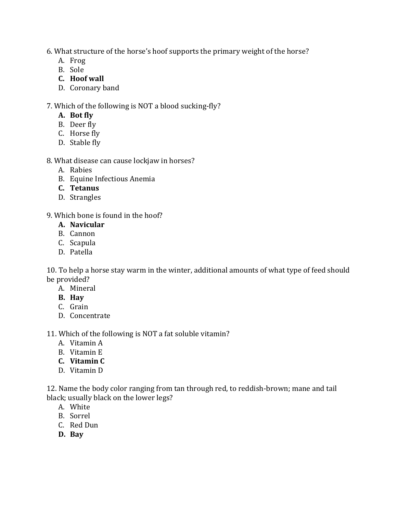6. What structure of the horse's hoof supports the primary weight of the horse?

- A. Frog
- B. Sole
- **C. Hoof wall**
- D. Coronary band

7. Which of the following is NOT a blood sucking-fly?

- **A. Bot fly**
- B. Deer fly
- C. Horse fly
- D. Stable fly

#### 8. What disease can cause lockjaw in horses?

- A. Rabies
- B. Equine Infectious Anemia
- **C. Tetanus**
- D. Strangles

#### 9. Which bone is found in the hoof?

- **A. Navicular**
- B. Cannon
- C. Scapula
- D. Patella

10. To help a horse stay warm in the winter, additional amounts of what type of feed should be provided?

- A. Mineral
- **B. Hay**
- C. Grain
- D. Concentrate

#### 11. Which of the following is NOT a fat soluble vitamin?

- A. Vitamin A
- B. Vitamin E
- **C. Vitamin C**
- D. Vitamin D

12. Name the body color ranging from tan through red, to reddish-brown; mane and tail black; usually black on the lower legs?

- A. White
- B. Sorrel
- C. Red Dun
- **D. Bay**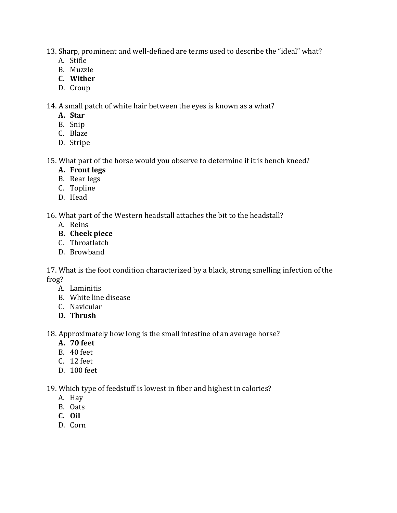13. Sharp, prominent and well-defined are terms used to describe the "ideal" what?

- A. Stifle
- B. Muzzle
- **C. Wither**
- D. Croup

14. A small patch of white hair between the eyes is known as a what?

- **A. Star**
- B. Snip
- C. Blaze
- D. Stripe

15. What part of the horse would you observe to determine if it is bench kneed?

- **A. Front legs**
- B. Rear legs
- C. Topline
- D. Head

16. What part of the Western headstall attaches the bit to the headstall?

- A. Reins
- **B. Cheek piece**
- C. Throatlatch
- D. Browband

17. What is the foot condition characterized by a black, strong smelling infection of the frog?

- A. Laminitis
- B. White line disease
- C. Navicular
- **D. Thrush**

18. Approximately how long is the small intestine of an average horse?

- **A. 70 feet**
- B. 40 feet
- C. 12 feet
- D. 100 feet

19. Which type of feedstuff is lowest in fiber and highest in calories?

- A. Hay
- B. Oats
- **C. Oil**
- D. Corn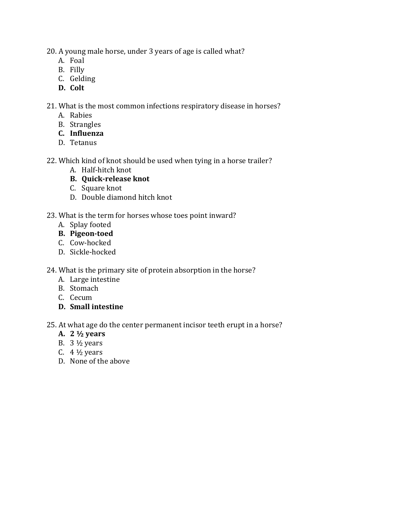20. A young male horse, under 3 years of age is called what?

- A. Foal
- B. Filly
- C. Gelding
- **D. Colt**

21. What is the most common infections respiratory disease in horses?

- A. Rabies
- B. Strangles
- **C. Influenza**
- D. Tetanus
- 22. Which kind of knot should be used when tying in a horse trailer?
	- A. Half-hitch knot
	- **B. Quick-release knot**
	- C. Square knot
	- D. Double diamond hitch knot
- 23. What is the term for horses whose toes point inward?
	- A. Splay footed
	- **B. Pigeon-toed**
	- C. Cow-hocked
	- D. Sickle-hocked

24. What is the primary site of protein absorption in the horse?

- A. Large intestine
- B. Stomach
- C. Cecum
- **D. Small intestine**

25. At what age do the center permanent incisor teeth erupt in a horse?

- **A. 2 ½ years**
- B.  $3\frac{1}{2}$  years
- C.  $4\frac{1}{2}$  years
- D. None of the above